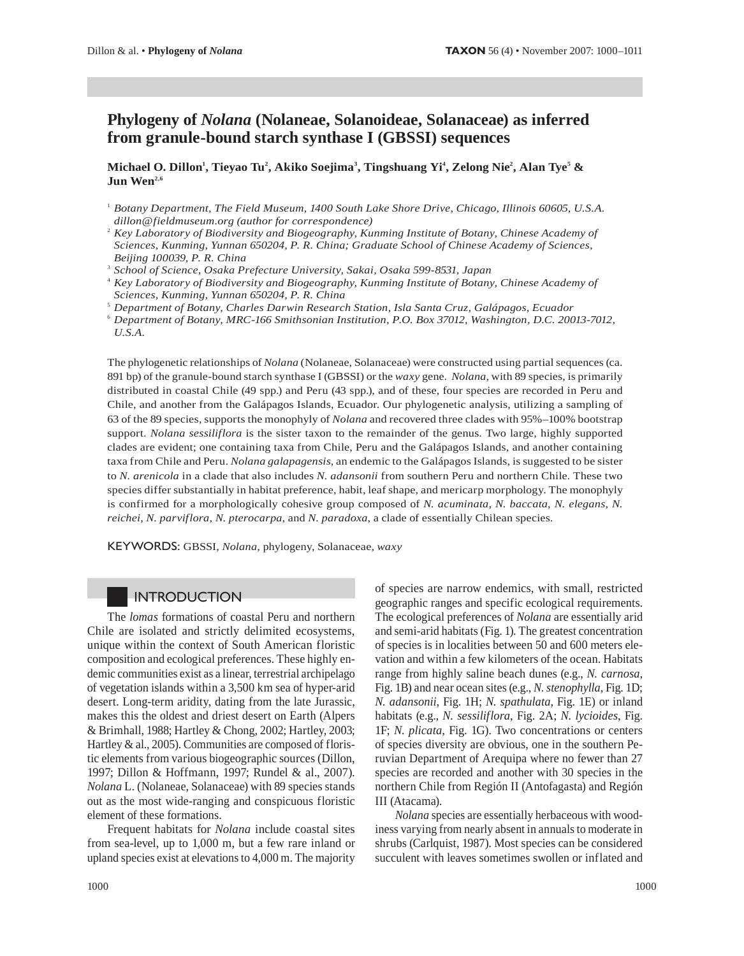# Phylogeny of Nolana (Nolaneae, Solanoideae, Solanaceae) as inferred from granule-bound starch synthase I (GBSSI) sequences

Michael O. Dillon<sup>1</sup>, Tieyao Tu<sup>2</sup>, Akiko Soejima<sup>3</sup>, Tingshuang Yi<sup>4</sup>, Zelong Nie<sup>2</sup>, Alan Tye<sup>5</sup> & Jun Wen<sup>2,6</sup>

- Botany Department, The Field Museum, 1400 South Lake Shore Drive, Chicago, Illinois 60605, U.S.A. dillon@fieldmuseum.org (author for correspondence)
- <sup>2</sup> Key Laboratory of Biodiversity and Biogeography, Kunming Institute of Botany, Chinese Academy of Sciences, Kunming, Yunnan 650204, P. R. China; Graduate School of Chinese Academy of Sciences, Beijing 100039, P. R. China
- <sup>3</sup> School of Science, Osaka Prefecture University, Sakai, Osaka 599-8531, Japan
- Key Laboratory of Biodiversity and Biogeography, Kunming Institute of Botany, Chinese Academy of Sciences, Kunming, Yunnan 650204, P. R. China
- Department of Botany, Charles Darwin Research Station, Isla Santa Cruz, Galápagos, Ecuador
- <sup>6</sup> Department of Botany, MRC-166 Smithsonian Institution, P.O. Box 37012, Washington, D.C. 20013-7012,  $U.S.A.$

The phylogenetic relationships of Nolana (Nolaneae, Solanaceae) were constructed using partial sequences (ca. 891 bp) of the granule-bound starch synthase I (GBSSI) or the waxy gene. Nolana, with 89 species, is primarily distributed in coastal Chile (49 spp.) and Peru (43 spp.), and of these, four species are recorded in Peru and Chile, and another from the Galápagos Islands, Ecuador. Our phylogenetic analysis, utilizing a sampling of 63 of the 89 species, supports the monophyly of *Nolana* and recovered three clades with 95%–100% bootstrap support. Nolana sessiliflora is the sister taxon to the remainder of the genus. Two large, highly supported clades are evident; one containing taxa from Chile, Peru and the Galápagos Islands, and another containing taxa from Chile and Peru. Nolana galapagensis, an endemic to the Galápagos Islands, is suggested to be sister to N. arenicola in a clade that also includes N. adansonii from southern Peru and northern Chile. These two species differ substantially in habitat preference, habit, leaf shape, and mericarp morphology. The monophyly is confirmed for a morphologically cohesive group composed of N. acuminata, N. baccata, N. elegans, N. reichei, N. parviflora, N. pterocarpa, and N. paradoxa, a clade of essentially Chilean species.

KEYWORDS: GBSSI, Nolana, phylogeny, Solanaceae, waxy

## INTRODUCTION

The *lomas* formations of coastal Peru and northern Chile are isolated and strictly delimited ecosystems, unique within the context of South American floristic composition and ecological preferences. These highly endemic communities exist as a linear, terrestrial archipelago of vegetation islands within a 3,500 km sea of hyper-arid desert. Long-term aridity, dating from the late Jurassic, makes this the oldest and driest desert on Earth (Alpers & Brimhall, 1988; Hartley & Chong, 2002; Hartley, 2003; Hartley & al., 2005). Communities are composed of floristic elements from various biogeographic sources (Dillon, 1997; Dillon & Hoffmann, 1997; Rundel & al., 2007). Nolana L. (Nolaneae, Solanaceae) with 89 species stands out as the most wide-ranging and conspicuous floristic element of these formations.

Frequent habitats for *Nolana* include coastal sites from sea-level, up to 1,000 m, but a few rare inland or upland species exist at elevations to 4,000 m. The majority

1000

of species are narrow endemics, with small, restricted geographic ranges and specific ecological requirements. The ecological preferences of Nolana are essentially arid and semi-arid habitats (Fig. 1). The greatest concentration of species is in localities between 50 and 600 meters elevation and within a few kilometers of the ocean. Habitats range from highly saline beach dunes (e.g., N. carnosa, Fig. 1B) and near ocean sites (e.g., N. stenophylla, Fig. 1D; N. adansonii, Fig. 1H; N. spathulata, Fig. 1E) or inland habitats (e.g., N. sessiliflora, Fig. 2A; N. lycioides, Fig. 1F; N. plicata, Fig. 1G). Two concentrations or centers of species diversity are obvious, one in the southern Peruvian Department of Arequipa where no fewer than 27 species are recorded and another with 30 species in the northern Chile from Región II (Antofagasta) and Región III (Atacama).

*Nolana* species are essentially herbaceous with woodiness varying from nearly absent in annuals to moderate in shrubs (Carlquist, 1987). Most species can be considered succulent with leaves sometimes swollen or inflated and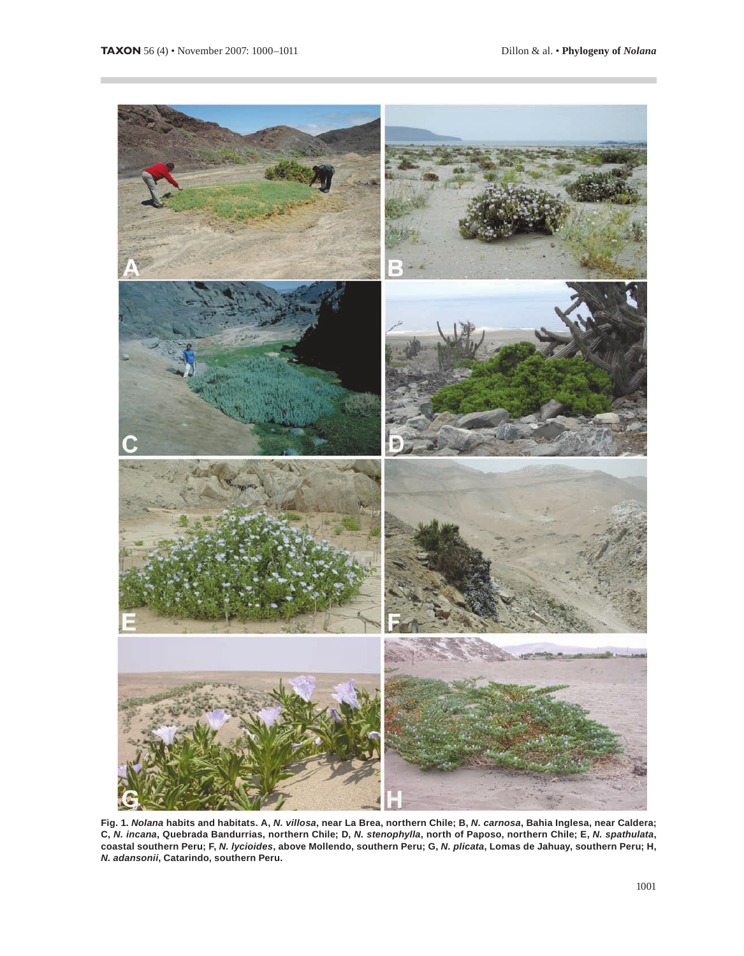

Fig. 1. Nolana habits and habitats. A, N. villosa, near La Brea, northern Chile; B, N. carnosa, Bahia Inglesa, near Caldera; C, N. incana, Quebrada Bandurrias, northern Chile; D, N. stenophylla, north of Paposo, northern Chile; E, N. spathulata, coastal southern Peru; F, N. lycioides, above Mollendo, southern Peru; G, N. plicata, Lomas de Jahuay, southern Peru; H, N. adansonii, Catarindo, southern Peru.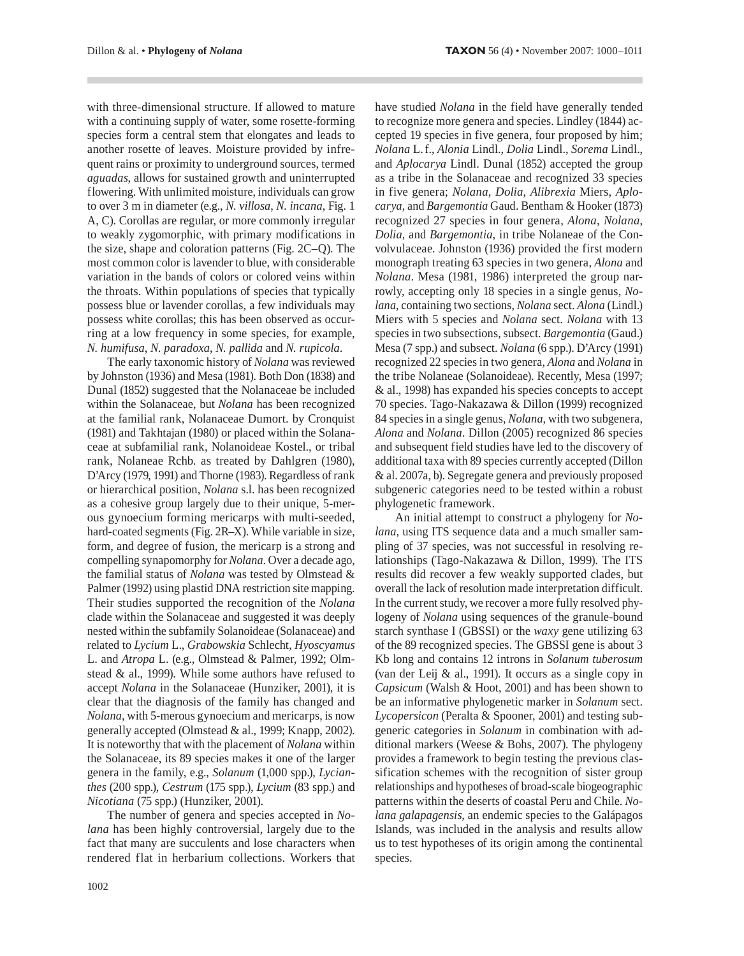with three-dimensional structure. If allowed to mature with a continuing supply of water, some rosette-forming species form a central stem that elongates and leads to another rosette of leaves. Moisture provided by infrequent rains or proximity to underground sources, termed aguadas, allows for sustained growth and uninterrupted flowering. With unlimited moisture, individuals can grow to over 3 m in diameter (e.g., N. villosa, N. incana, Fig. 1 A, C). Corollas are regular, or more commonly irregular to weakly zygomorphic, with primary modifications in the size, shape and coloration patterns (Fig. 2C–Q). The most common color is lavender to blue, with considerable variation in the bands of colors or colored veins within the throats. Within populations of species that typically possess blue or lavender corollas, a few individuals may possess white corollas; this has been observed as occurring at a low frequency in some species, for example, N. humifusa, N. paradoxa, N. pallida and N. rupicola.

The early taxonomic history of Nolana was reviewed by Johnston (1936) and Mesa (1981). Both Don (1838) and Dunal (1852) suggested that the Nolanaceae be included within the Solanaceae, but Nolana has been recognized at the familial rank, Nolanaceae Dumort. by Cronquist (1981) and Takhtajan (1980) or placed within the Solanaceae at subfamilial rank, Nolanoideae Kostel., or tribal rank, Nolaneae Rchb. as treated by Dahlgren (1980), D'Arcy (1979, 1991) and Thorne (1983). Regardless of rank or hierarchical position, Nolana s.l. has been recognized as a cohesive group largely due to their unique, 5-merous gynoecium forming mericarps with multi-seeded, hard-coated segments (Fig. 2R-X). While variable in size, form, and degree of fusion, the mericarp is a strong and compelling synapomorphy for Nolana. Over a decade ago, the familial status of Nolana was tested by Olmstead & Palmer (1992) using plastid DNA restriction site mapping. Their studies supported the recognition of the Nolana clade within the Solanaceae and suggested it was deeply nested within the subfamily Solanoideae (Solanaceae) and related to Lycium L., Grabowskia Schlecht, Hyoscyamus L. and Atropa L. (e.g., Olmstead & Palmer, 1992; Olmstead & al., 1999). While some authors have refused to accept Nolana in the Solanaceae (Hunziker, 2001), it is clear that the diagnosis of the family has changed and Nolana, with 5-merous gynoecium and mericarps, is now generally accepted (Olmstead & al., 1999; Knapp, 2002). It is noteworthy that with the placement of *Nolana* within the Solanaceae, its 89 species makes it one of the larger genera in the family, e.g., Solanum (1,000 spp.), Lycianthes (200 spp.), Cestrum (175 spp.), Lycium (83 spp.) and Nicotiana (75 spp.) (Hunziker, 2001).

The number of genera and species accepted in Nolana has been highly controversial, largely due to the fact that many are succulents and lose characters when rendered flat in herbarium collections. Workers that have studied Nolana in the field have generally tended to recognize more genera and species. Lindley (1844) accepted 19 species in five genera, four proposed by him; Nolana L.f., Alonia Lindl., Dolia Lindl., Sorema Lindl., and Aplocarya Lindl. Dunal (1852) accepted the group as a tribe in the Solanaceae and recognized 33 species in five genera; Nolana, Dolia, Alibrexia Miers, Aplocarya, and Bargemontia Gaud. Bentham & Hooker (1873) recognized 27 species in four genera, Alona, Nolana, Dolia, and Bargemontia, in tribe Nolaneae of the Convolvulaceae. Johnston (1936) provided the first modern monograph treating 63 species in two genera, Alona and *Nolana*. Mesa (1981, 1986) interpreted the group narrowly, accepting only 18 species in a single genus, Nolana, containing two sections, Nolana sect. Alona (Lindl.) Miers with 5 species and Nolana sect. Nolana with 13 species in two subsections, subsect. Bargemontia (Gaud.) Mesa (7 spp.) and subsect. *Nolana* (6 spp.). D'Arcy (1991) recognized 22 species in two genera, Alona and Nolana in the tribe Nolaneae (Solanoideae). Recently, Mesa (1997; & al., 1998) has expanded his species concepts to accept 70 species. Tago-Nakazawa & Dillon (1999) recognized 84 species in a single genus, *Nolana*, with two subgenera, Alona and Nolana. Dillon (2005) recognized 86 species and subsequent field studies have led to the discovery of additional taxa with 89 species currently accepted (Dillon & al. 2007a, b). Segregate genera and previously proposed subgeneric categories need to be tested within a robust phylogenetic framework.

An initial attempt to construct a phylogeny for Nolana, using ITS sequence data and a much smaller sampling of 37 species, was not successful in resolving relationships (Tago-Nakazawa & Dillon, 1999). The ITS results did recover a few weakly supported clades, but overall the lack of resolution made interpretation difficult. In the current study, we recover a more fully resolved phylogeny of *Nolana* using sequences of the granule-bound starch synthase I (GBSSI) or the *waxy* gene utilizing 63 of the 89 recognized species. The GBSSI gene is about 3 Kb long and contains 12 introns in Solanum tuberosum (van der Leij & al., 1991). It occurs as a single copy in Capsicum (Walsh & Hoot, 2001) and has been shown to be an informative phylogenetic marker in Solanum sect. Lycopersicon (Peralta & Spooner, 2001) and testing subgeneric categories in Solanum in combination with additional markers (Weese & Bohs, 2007). The phylogeny provides a framework to begin testing the previous classification schemes with the recognition of sister group relationships and hypotheses of broad-scale biogeographic patterns within the deserts of coastal Peru and Chile. Nolana galapagensis, an endemic species to the Galápagos Islands, was included in the analysis and results allow us to test hypotheses of its origin among the continental species.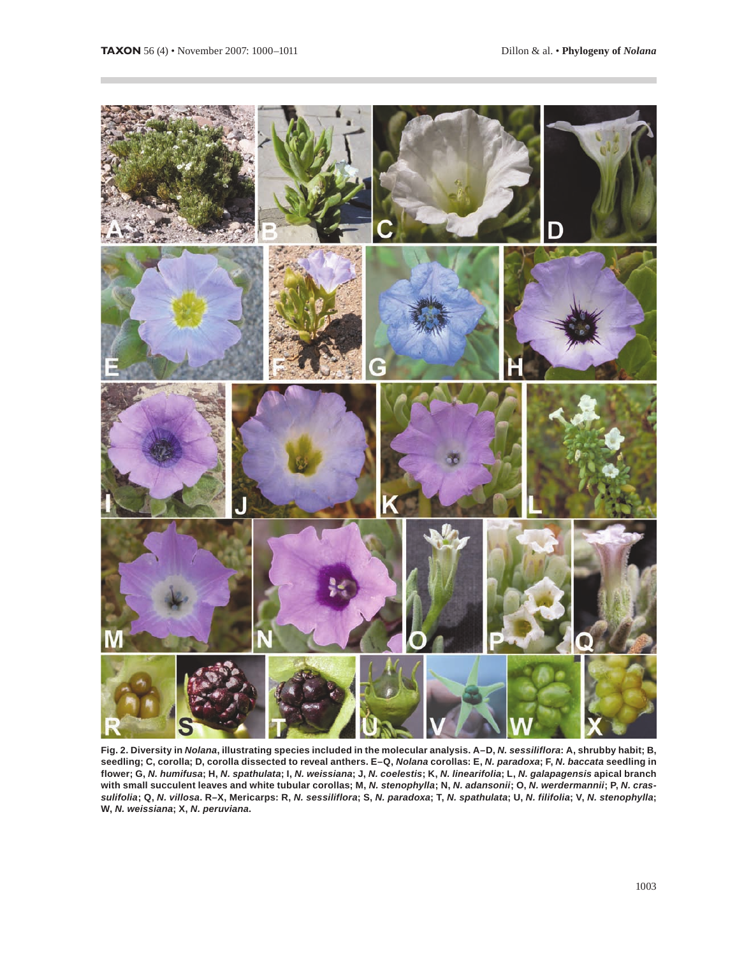

Fig. 2. Diversity in Nolana, illustrating species included in the molecular analysis. A-D, N. sessiliflora: A, shrubby habit; B, seedling; C, corolla; D, corolla dissected to reveal anthers. E-Q, Nolana corollas: E, N. paradoxa; F, N. baccata seedling in flower; G, N. humifusa; H, N. spathulata; I, N. weissiana; J, N. coelestis; K, N. linearifolia; L, N. galapagensis apical branch with small succulent leaves and white tubular corollas; M, N. stenophylla; N, N. adansonii; O, N. werdermannii; P, N. crassulifolia; Q, N. villosa. R-X, Mericarps: R, N. sessiliflora; S, N. paradoxa; T, N. spathulata; U, N. filifolia; V, N. stenophylla; W, N. weissiana; X, N. peruviana.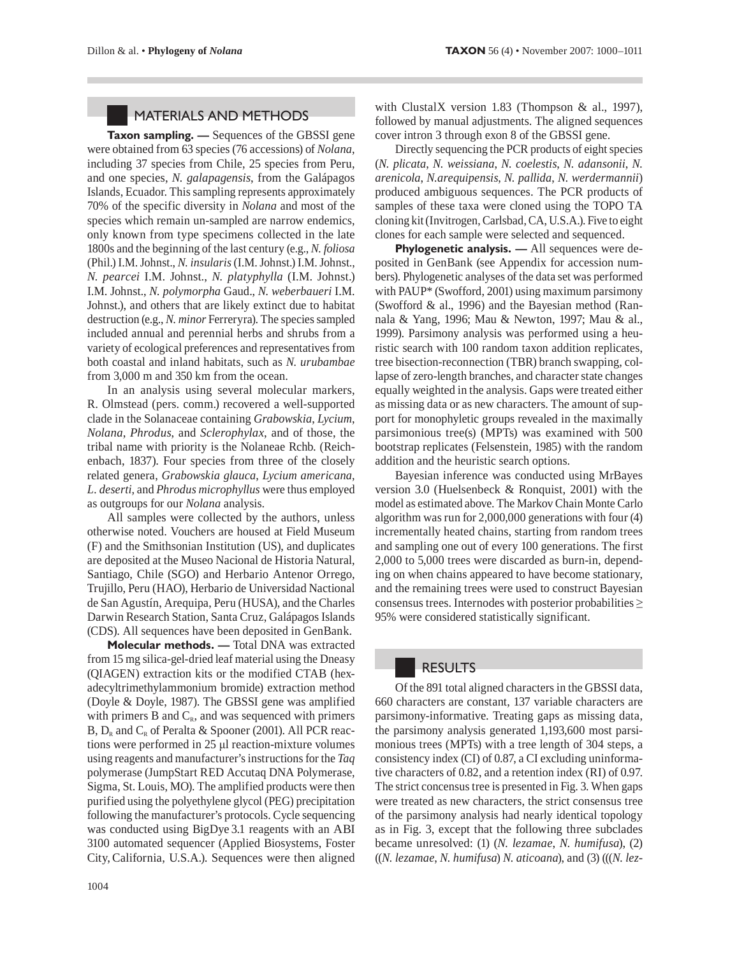# MATERIALS AND METHODS

Taxon sampling. - Sequences of the GBSSI gene were obtained from 63 species (76 accessions) of *Nolana*, including 37 species from Chile, 25 species from Peru, and one species, N. galapagensis, from the Galápagos Islands, Ecuador. This sampling represents approximately 70% of the specific diversity in *Nolana* and most of the species which remain un-sampled are narrow endemics, only known from type specimens collected in the late 1800s and the beginning of the last century (e.g., N. foliosa (Phil.) I.M. Johnst., N. insularis (I.M. Johnst.) I.M. Johnst., N. pearcei I.M. Johnst., N. platyphylla (I.M. Johnst.) I.M. Johnst., N. polymorpha Gaud., N. weberbaueri I.M. Johnst.), and others that are likely extinct due to habitat destruction (e.g., N. minor Ferreryra). The species sampled included annual and perennial herbs and shrubs from a variety of ecological preferences and representatives from both coastal and inland habitats, such as N. urubambae from 3,000 m and 350 km from the ocean.

In an analysis using several molecular markers, R. Olmstead (pers. comm.) recovered a well-supported clade in the Solanaceae containing Grabowskia, Lycium, Nolana, Phrodus, and Sclerophylax, and of those, the tribal name with priority is the Nolaneae Rchb. (Reichenbach, 1837). Four species from three of the closely related genera, Grabowskia glauca, Lycium americana, L. deserti, and Phrodus microphyllus were thus employed as outgroups for our *Nolana* analysis.

All samples were collected by the authors, unless otherwise noted. Vouchers are housed at Field Museum (F) and the Smithsonian Institution (US), and duplicates are deposited at the Museo Nacional de Historia Natural, Santiago, Chile (SGO) and Herbario Antenor Orrego, Trujillo, Peru (HAO), Herbario de Universidad Nactional de San Agustín, Arequipa, Peru (HUSA), and the Charles Darwin Research Station, Santa Cruz, Galápagos Islands (CDS). All sequences have been deposited in GenBank.

Molecular methods. - Total DNA was extracted from 15 mg silica-gel-dried leaf material using the Dneasy (QIAGEN) extraction kits or the modified CTAB (hexadecyltrimethylammonium bromide) extraction method (Doyle & Doyle, 1987). The GBSSI gene was amplified with primers  $B$  and  $C_R$ , and was sequenced with primers B,  $D_R$  and  $C_R$  of Peralta & Spooner (2001). All PCR reactions were performed in 25 µl reaction-mixture volumes using reagents and manufacturer's instructions for the Taq polymerase (JumpStart RED Accutaq DNA Polymerase, Sigma, St. Louis, MO). The amplified products were then purified using the polyethylene glycol (PEG) precipitation following the manufacturer's protocols. Cycle sequencing was conducted using BigDye 3.1 reagents with an ABI 3100 automated sequencer (Applied Biosystems, Foster City, California, U.S.A.). Sequences were then aligned with ClustalX version 1.83 (Thompson & al., 1997), followed by manual adjustments. The aligned sequences cover intron 3 through exon 8 of the GBSSI gene.

Directly sequencing the PCR products of eight species (N. plicata, N. weissiana, N. coelestis, N. adansonii, N. arenicola, N.arequipensis, N. pallida, N. werdermannii) produced ambiguous sequences. The PCR products of samples of these taxa were cloned using the TOPO TA cloning kit (Invitrogen, Carlsbad, CA, U.S.A.). Five to eight clones for each sample were selected and sequenced.

Phylogenetic analysis. - All sequences were deposited in GenBank (see Appendix for accession numbers). Phylogenetic analyses of the data set was performed with PAUP\* (Swofford, 2001) using maximum parsimony (Swofford & al., 1996) and the Bayesian method (Rannala & Yang, 1996; Mau & Newton, 1997; Mau & al., 1999). Parsimony analysis was performed using a heuristic search with 100 random taxon addition replicates, tree bisection-reconnection (TBR) branch swapping, collapse of zero-length branches, and character state changes equally weighted in the analysis. Gaps were treated either as missing data or as new characters. The amount of support for monophyletic groups revealed in the maximally parsimonious tree(s) (MPTs) was examined with 500 bootstrap replicates (Felsenstein, 1985) with the random addition and the heuristic search options.

Bayesian inference was conducted using MrBayes version 3.0 (Huelsenbeck  $&$  Ronquist, 2001) with the model as estimated above. The Markov Chain Monte Carlo algorithm was run for 2,000,000 generations with four (4) incrementally heated chains, starting from random trees and sampling one out of every 100 generations. The first 2,000 to 5,000 trees were discarded as burn-in, depending on when chains appeared to have become stationary, and the remaining trees were used to construct Bayesian consensus trees. Internodes with posterior probabilities  $\geq$ 95% were considered statistically significant.

### **RESULTS**

Of the 891 total aligned characters in the GBSSI data, 660 characters are constant, 137 variable characters are parsimony-informative. Treating gaps as missing data, the parsimony analysis generated 1,193,600 most parsimonious trees (MPTs) with a tree length of 304 steps, a consistency index (CI) of 0.87, a CI excluding uninformative characters of 0.82, and a retention index (RI) of 0.97. The strict concensus tree is presented in Fig. 3. When gaps were treated as new characters, the strict consensus tree of the parsimony analysis had nearly identical topology as in Fig. 3, except that the following three subclades became unresolved: (1) (N. lezamae, N. humifusa), (2)  $((N. lezamae, N. humifusa) N. aticoana),$  and  $(3)$   $(((N. lez-$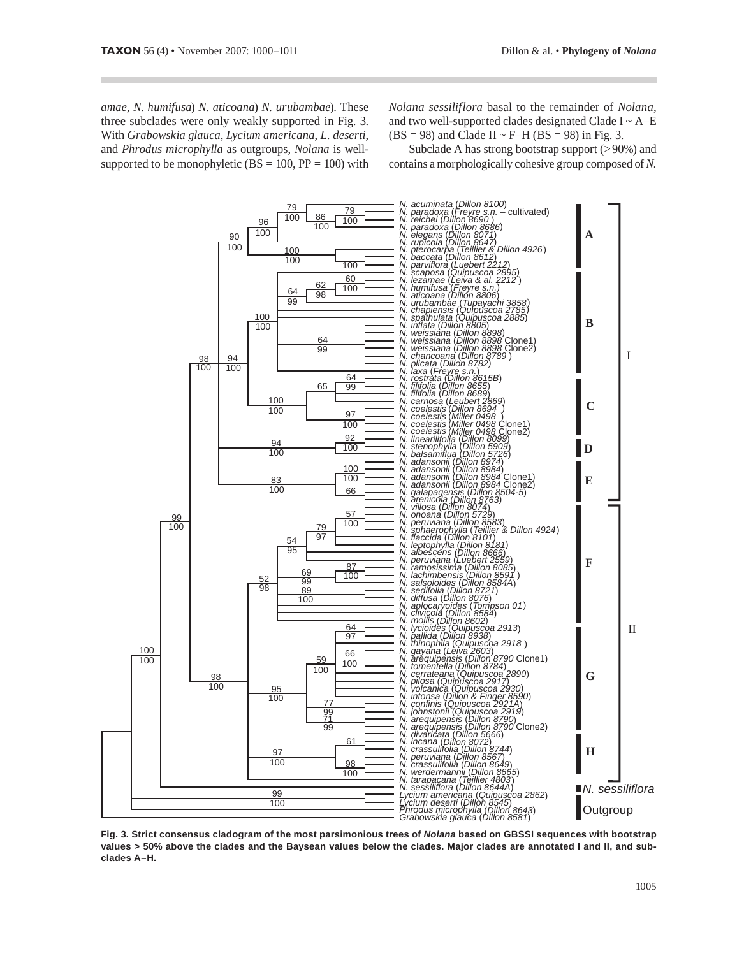amae, N. humifusa) N. aticoana) N. urubambae). These three subclades were only weakly supported in Fig. 3. With Grabowskia glauca, Lycium americana, L. deserti, and *Phrodus microphylla* as outgroups, *Nolana* is wellsupported to be monophyletic ( $BS = 100$ ,  $PP = 100$ ) with Nolana sessiliflora basal to the remainder of Nolana, and two well-supported clades designated Clade  $I \sim A - E$  $(BS = 98)$  and Clade II ~ F-H  $(BS = 98)$  in Fig. 3.

Subclade A has strong bootstrap support  $(>90\%)$  and contains a morphologically cohesive group composed of N.



Fig. 3. Strict consensus cladogram of the most parsimonious trees of Nolana based on GBSSI sequences with bootstrap values > 50% above the clades and the Baysean values below the clades. Major clades are annotated I and II, and subclades A-H.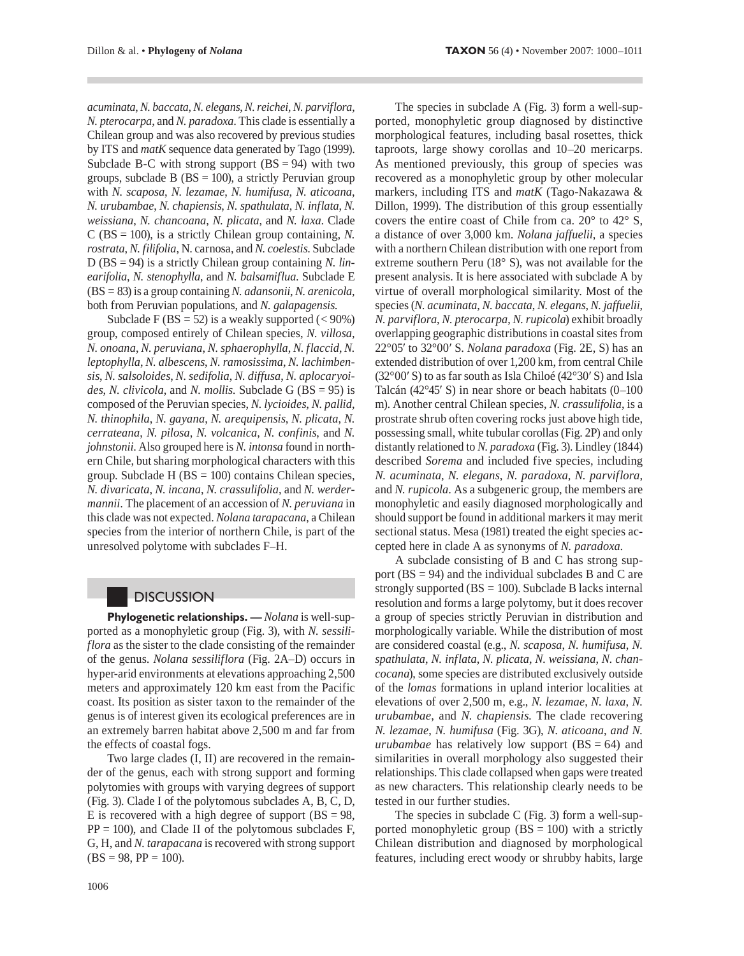acuminata, N. baccata, N. elegans, N. reichei, N. parviflora, N. pterocarpa, and N. paradoxa. This clade is essentially a Chilean group and was also recovered by previous studies by ITS and matK sequence data generated by Tago (1999). Subclade B-C with strong support  $(BS = 94)$  with two groups, subclade B ( $BS = 100$ ), a strictly Peruvian group with N. scaposa, N. lezamae, N. humifusa, N. aticoana, N. urubambae, N. chapiensis, N. spathulata, N. inflata, N. weissiana, N. chancoana, N. plicata, and N. laxa. Clade  $C$  (BS = 100), is a strictly Chilean group containing, N. rostrata, N. filifolia, N. carnosa, and N. coelestis. Subclade  $D(BS = 94)$  is a strictly Chilean group containing N. linearifolia, N. stenophylla, and N. balsamiflua. Subclade E  $(BS = 83)$  is a group containing *N. adansonii, N. arenicola,* both from Peruvian populations, and N. galapagensis.

Subclade F (BS = 52) is a weakly supported  $(< 90\%)$ group, composed entirely of Chilean species, N. villosa, N. onoana, N. peruviana, N. sphaerophylla, N. flaccid, N. leptophylla, N. albescens, N. ramosissima, N. lachimbensis, N. salsoloides, N. sedifolia, N. diffusa, N. aplocaryoides, N. clivicola, and N. mollis. Subclade G ( $BS = 95$ ) is composed of the Peruvian species, N. lycioides, N. pallid, N. thinophila, N. gayana, N. arequipensis, N. plicata, N. cerrateana, N. pilosa, N. volcanica, N. confinis, and N. johnstonii. Also grouped here is N. intonsa found in northern Chile, but sharing morphological characters with this group. Subclade H ( $BS = 100$ ) contains Chilean species, N. divaricata, N. incana, N. crassulifolia, and N. werdermannii. The placement of an accession of N. peruviana in this clade was not expected. Nolana tarapacana, a Chilean species from the interior of northern Chile, is part of the unresolved polytome with subclades F-H.

### **DISCUSSION**

Phylogenetic relationships. - Nolana is well-supported as a monophyletic group (Fig. 3), with N. sessili*flora* as the sister to the clade consisting of the remainder of the genus. *Nolana sessiliflora* (Fig. 2A–D) occurs in hyper-arid environments at elevations approaching 2,500 meters and approximately 120 km east from the Pacific coast. Its position as sister taxon to the remainder of the genus is of interest given its ecological preferences are in an extremely barren habitat above 2,500 m and far from the effects of coastal fogs.

Two large clades (I, II) are recovered in the remainder of the genus, each with strong support and forming polytomies with groups with varying degrees of support (Fig. 3). Clade I of the polytomous subclades A, B, C, D, E is recovered with a high degree of support  $(BS = 98,$  $PP = 100$ , and Clade II of the polytomous subclades F, G, H, and N. tarapacana is recovered with strong support  $(BS = 98, PP = 100).$ 

The species in subclade A (Fig. 3) form a well-supported, monophyletic group diagnosed by distinctive morphological features, including basal rosettes, thick taproots, large showy corollas and 10-20 mericarps. As mentioned previously, this group of species was recovered as a monophyletic group by other molecular markers, including ITS and matK (Tago-Nakazawa & Dillon, 1999). The distribution of this group essentially covers the entire coast of Chile from ca. 20° to 42° S, a distance of over 3,000 km. Nolana jaffuelii, a species with a northern Chilean distribution with one report from extreme southern Peru (18° S), was not available for the present analysis. It is here associated with subclade A by virtue of overall morphological similarity. Most of the species (N. acuminata, N. baccata, N. elegans, N. jaffuelii, N. parviflora, N. pterocarpa, N. rupicola) exhibit broadly overlapping geographic distributions in coastal sites from 22°05' to 32°00' S. Nolana paradoxa (Fig. 2E, S) has an extended distribution of over 1,200 km, from central Chile  $(32^{\circ}00' S)$  to as far south as Isla Chiloé  $(42^{\circ}30' S)$  and Isla Talcán (42°45' S) in near shore or beach habitats (0-100 m). Another central Chilean species, N. crassulifolia, is a prostrate shrub often covering rocks just above high tide, possessing small, white tubular corollas (Fig. 2P) and only distantly relationed to N. paradoxa (Fig. 3). Lindley (1844) described Sorema and included five species, including N. acuminata, N. elegans, N. paradoxa, N. parviflora, and N. rupicola. As a subgeneric group, the members are monophyletic and easily diagnosed morphologically and should support be found in additional markers it may merit sectional status. Mesa (1981) treated the eight species accepted here in clade A as synonyms of N. paradoxa.

A subclade consisting of B and C has strong support ( $BS = 94$ ) and the individual subclades B and C are strongly supported ( $BS = 100$ ). Subclade B lacks internal resolution and forms a large polytomy, but it does recover a group of species strictly Peruvian in distribution and morphologically variable. While the distribution of most are considered coastal (e.g., N. scaposa, N. humifusa, N. spathulata, N. inflata, N. plicata, N. weissiana, N. chancocana), some species are distributed exclusively outside of the *lomas* formations in upland interior localities at elevations of over 2,500 m, e.g., N. lezamae, N. laxa, N. urubambae, and N. chapiensis. The clade recovering N. lezamae, N. humifusa (Fig. 3G), N. aticoana, and N. *urubambae* has relatively low support  $(BS = 64)$  and similarities in overall morphology also suggested their relationships. This clade collapsed when gaps were treated as new characters. This relationship clearly needs to be tested in our further studies.

The species in subclade C (Fig. 3) form a well-supported monophyletic group ( $BS = 100$ ) with a strictly Chilean distribution and diagnosed by morphological features, including erect woody or shrubby habits, large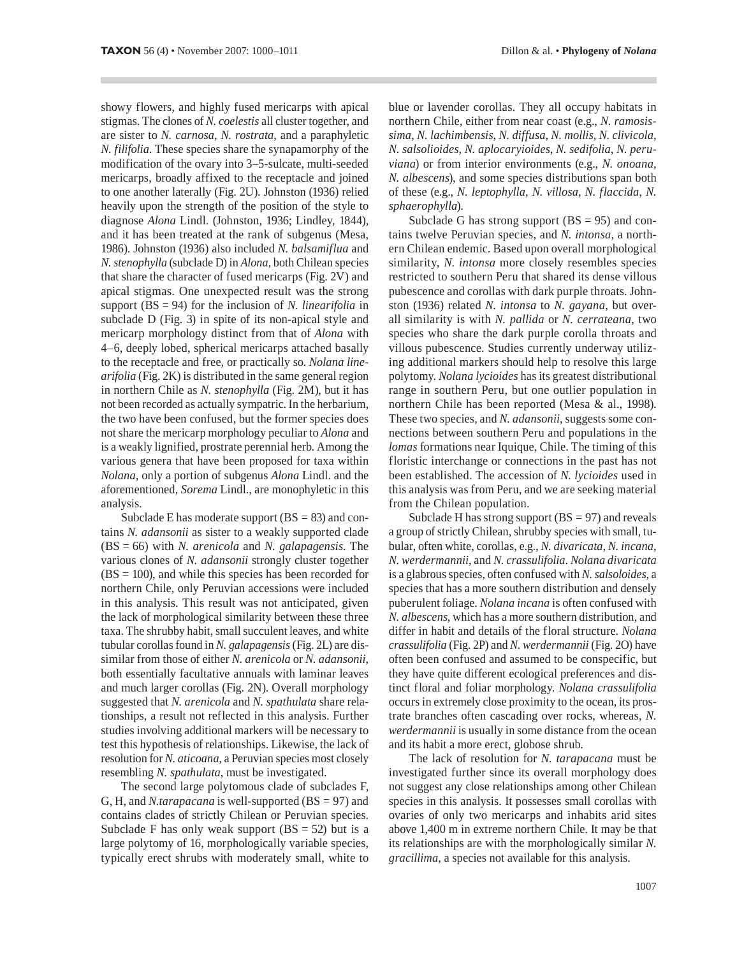showy flowers, and highly fused mericarps with apical stigmas. The clones of N. coelestis all cluster together, and are sister to N. carnosa, N. rostrata, and a paraphyletic N. filifolia. These species share the synapamorphy of the modification of the ovary into 3-5-sulcate, multi-seeded mericarps, broadly affixed to the receptacle and joined to one another laterally (Fig. 2U). Johnston (1936) relied heavily upon the strength of the position of the style to diagnose Alona Lindl. (Johnston, 1936; Lindley, 1844), and it has been treated at the rank of subgenus (Mesa, 1986). Johnston (1936) also included N. balsamiflua and N. stenophylla (subclade D) in Alona, both Chilean species that share the character of fused mericarps (Fig. 2V) and apical stigmas. One unexpected result was the strong support ( $BS = 94$ ) for the inclusion of N. linearifolia in subclade D (Fig. 3) in spite of its non-apical style and mericarp morphology distinct from that of *Alona* with 4–6, deeply lobed, spherical mericarps attached basally to the receptacle and free, or practically so. Nolana linearifolia (Fig. 2K) is distributed in the same general region in northern Chile as N. stenophylla (Fig. 2M), but it has not been recorded as actually sympatric. In the herbarium, the two have been confused, but the former species does not share the mericarp morphology peculiar to Alona and is a weakly lignified, prostrate perennial herb. Among the various genera that have been proposed for taxa within Nolana, only a portion of subgenus Alona Lindl. and the aforementioned, Sorema Lindl., are monophyletic in this analysis.

Subclade E has moderate support  $(BS = 83)$  and contains N. adansonii as sister to a weakly supported clade  $(BS = 66)$  with *N. arenicola* and *N. galapagensis*. The various clones of N. adansonii strongly cluster together  $(BS = 100)$ , and while this species has been recorded for northern Chile, only Peruvian accessions were included in this analysis. This result was not anticipated, given the lack of morphological similarity between these three taxa. The shrubby habit, small succulent leaves, and white tubular corollas found in N. galapagensis (Fig. 2L) are dissimilar from those of either N, arenicola or N, adansonii. both essentially facultative annuals with laminar leaves and much larger corollas (Fig. 2N). Overall morphology suggested that N. arenicola and N. spathulata share relationships, a result not reflected in this analysis. Further studies involving additional markers will be necessary to test this hypothesis of relationships. Likewise, the lack of resolution for N. aticoana, a Peruvian species most closely resembling N. spathulata, must be investigated.

The second large polytomous clade of subclades F, G, H, and *N.tarapacana* is well-supported ( $BS = 97$ ) and contains clades of strictly Chilean or Peruvian species. Subclade F has only weak support  $(BS = 52)$  but is a large polytomy of 16, morphologically variable species, typically erect shrubs with moderately small, white to blue or lavender corollas. They all occupy habitats in northern Chile, either from near coast (e.g., N. ramosissima, N. lachimbensis, N. diffusa, N. mollis, N. clivicola, N. salsolioides, N. aplocaryioides, N. sedifolia, N. peruviana) or from interior environments (e.g., N. onoana, N. albescens), and some species distributions span both of these (e.g., N. leptophylla, N. villosa, N. flaccida, N. sphaerophylla).

Subclade G has strong support  $(BS = 95)$  and contains twelve Peruvian species, and N. intonsa, a northern Chilean endemic. Based upon overall morphological similarity, N. intonsa more closely resembles species restricted to southern Peru that shared its dense villous pubescence and corollas with dark purple throats. Johnston (1936) related N. intonsa to N. gayana, but overall similarity is with N. pallida or N. cerrateana, two species who share the dark purple corolla throats and villous pubescence. Studies currently underway utilizing additional markers should help to resolve this large polytomy. Nolana lycioides has its greatest distributional range in southern Peru, but one outlier population in northern Chile has been reported (Mesa & al., 1998). These two species, and N. adansonii, suggests some connections between southern Peru and populations in the lomas formations near Iquique, Chile. The timing of this floristic interchange or connections in the past has not been established. The accession of N. lycioides used in this analysis was from Peru, and we are seeking material from the Chilean population.

Subclade H has strong support  $(BS = 97)$  and reveals a group of strictly Chilean, shrubby species with small, tubular, often white, corollas, e.g., N. divaricata, N. incana, N. werdermannii, and N. crassulifolia. Nolana divaricata is a glabrous species, often confused with N. salsoloides, a species that has a more southern distribution and densely puberulent foliage. Nolana incana is often confused with N. albescens, which has a more southern distribution, and differ in habit and details of the floral structure. Nolana crassulifolia (Fig. 2P) and N. werdermannii (Fig. 2O) have often been confused and assumed to be conspecific, but they have quite different ecological preferences and distinct floral and foliar morphology. Nolana crassulifolia occurs in extremely close proximity to the ocean, its prostrate branches often cascading over rocks, whereas, N. werdermannii is usually in some distance from the ocean and its habit a more erect, globose shrub.

The lack of resolution for N. tarapacana must be investigated further since its overall morphology does not suggest any close relationships among other Chilean species in this analysis. It possesses small corollas with ovaries of only two mericarps and inhabits arid sites above 1,400 m in extreme northern Chile. It may be that its relationships are with the morphologically similar N. gracillima, a species not available for this analysis.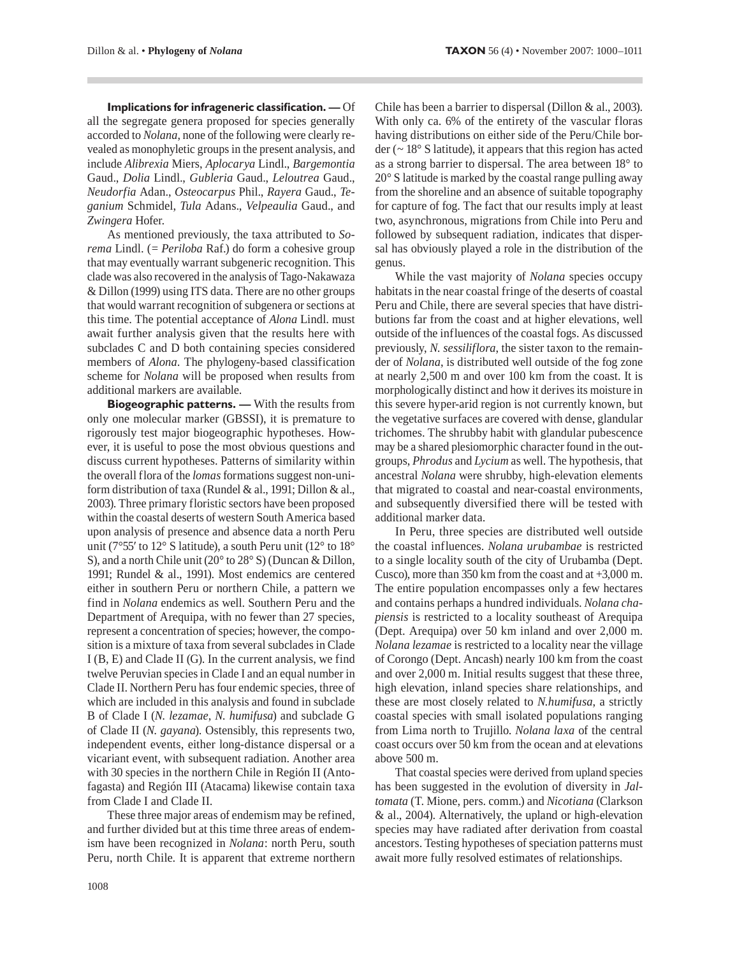Implications for infrageneric classification. - Of all the segregate genera proposed for species generally accorded to *Nolana*, none of the following were clearly revealed as monophyletic groups in the present analysis, and include Alibrexia Miers, Aplocarya Lindl., Bargemontia Gaud., Dolia Lindl., Gubleria Gaud., Leloutrea Gaud., Neudorfia Adan., Osteocarpus Phil., Rayera Gaud., Teganium Schmidel, Tula Adans., Velpeaulia Gaud., and Zwingera Hofer.

As mentioned previously, the taxa attributed to Sorema Lindl. (= Periloba Raf.) do form a cohesive group that may eventually warrant subgeneric recognition. This clade was also recovered in the analysis of Tago-Nakawaza & Dillon (1999) using ITS data. There are no other groups that would warrant recognition of subgenera or sections at this time. The potential acceptance of *Alona* Lindl. must await further analysis given that the results here with subclades C and D both containing species considered members of *Alona*. The phylogeny-based classification scheme for *Nolana* will be proposed when results from additional markers are available.

Biogeographic patterns. - With the results from only one molecular marker (GBSSI), it is premature to rigorously test major biogeographic hypotheses. However, it is useful to pose the most obvious questions and discuss current hypotheses. Patterns of similarity within the overall flora of the *lomas* formations suggest non-uniform distribution of taxa (Rundel & al., 1991; Dillon & al., 2003). Three primary floristic sectors have been proposed within the coastal deserts of western South America based upon analysis of presence and absence data a north Peru unit (7°55' to 12° S latitude), a south Peru unit (12° to 18° S), and a north Chile unit (20° to 28° S) (Duncan & Dillon, 1991; Rundel & al., 1991). Most endemics are centered either in southern Peru or northern Chile, a pattern we find in Nolana endemics as well. Southern Peru and the Department of Arequipa, with no fewer than 27 species, represent a concentration of species; however, the composition is a mixture of taxa from several subclades in Clade  $I(B, E)$  and Clade II (G). In the current analysis, we find twelve Peruvian species in Clade I and an equal number in Clade II. Northern Peru has four endemic species, three of which are included in this analysis and found in subclade B of Clade I (N. lezamae, N. humifusa) and subclade G of Clade II (N. gayana). Ostensibly, this represents two, independent events, either long-distance dispersal or a vicariant event, with subsequent radiation. Another area with 30 species in the northern Chile in Región II (Antofagasta) and Región III (Atacama) likewise contain taxa from Clade I and Clade II.

These three major areas of endemism may be refined, and further divided but at this time three areas of endemism have been recognized in Nolana: north Peru, south Peru, north Chile. It is apparent that extreme northern Chile has been a barrier to dispersal (Dillon & al., 2003). With only ca. 6% of the entirety of the vascular floras having distributions on either side of the Peru/Chile border ( $\sim$  18 $\degree$  S latitude), it appears that this region has acted as a strong barrier to dispersal. The area between 18° to 20° S latitude is marked by the coastal range pulling away from the shoreline and an absence of suitable topography for capture of fog. The fact that our results imply at least two, asynchronous, migrations from Chile into Peru and followed by subsequent radiation, indicates that dispersal has obviously played a role in the distribution of the genus.

While the vast majority of Nolana species occupy habitats in the near coastal fringe of the deserts of coastal Peru and Chile, there are several species that have distributions far from the coast and at higher elevations, well outside of the influences of the coastal fogs. As discussed previously, N. sessiliflora, the sister taxon to the remainder of *Nolana*, is distributed well outside of the fog zone at nearly 2,500 m and over 100 km from the coast. It is morphologically distinct and how it derives its moisture in this severe hyper-arid region is not currently known, but the vegetative surfaces are covered with dense, glandular trichomes. The shrubby habit with glandular pubescence may be a shared plesiomorphic character found in the outgroups, Phrodus and Lycium as well. The hypothesis, that ancestral Nolana were shrubby, high-elevation elements that migrated to coastal and near-coastal environments, and subsequently diversified there will be tested with additional marker data.

In Peru, three species are distributed well outside the coastal influences. Nolana urubambae is restricted to a single locality south of the city of Urubamba (Dept. Cusco), more than  $350 \text{ km}$  from the coast and at  $+3,000 \text{ m}$ . The entire population encompasses only a few hectares and contains perhaps a hundred individuals. Nolana chapiensis is restricted to a locality southeast of Arequipa (Dept. Arequipa) over 50 km inland and over 2,000 m. Nolana lezamae is restricted to a locality near the village of Corongo (Dept. Ancash) nearly 100 km from the coast and over 2,000 m. Initial results suggest that these three, high elevation, inland species share relationships, and these are most closely related to N.humifusa, a strictly coastal species with small isolated populations ranging from Lima north to Trujillo. Nolana laxa of the central coast occurs over 50 km from the ocean and at elevations above 500 m.

That coastal species were derived from upland species has been suggested in the evolution of diversity in Jaltomata (T. Mione, pers. comm.) and Nicotiana (Clarkson & al., 2004). Alternatively, the upland or high-elevation species may have radiated after derivation from coastal ancestors. Testing hypotheses of speciation patterns must await more fully resolved estimates of relationships.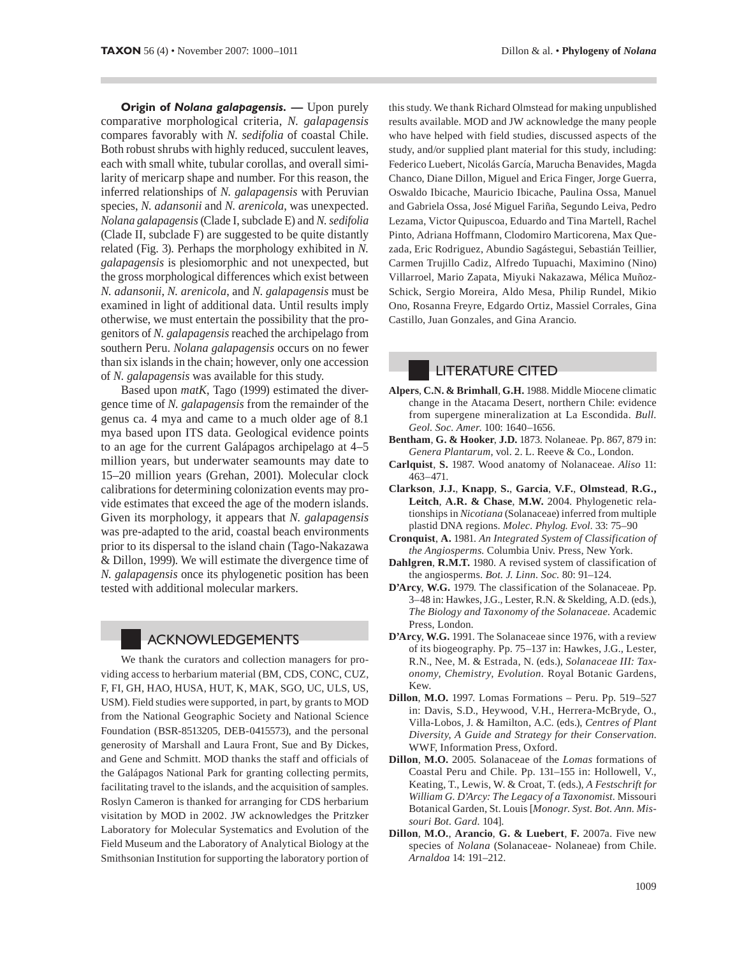Origin of Nolana galapagensis. - Upon purely comparative morphological criteria, N. galapagensis compares favorably with N. sedifolia of coastal Chile. Both robust shrubs with highly reduced, succulent leaves, each with small white, tubular corollas, and overall similarity of mericarp shape and number. For this reason, the inferred relationships of N. galapagensis with Peruvian species, N. adansonii and N. arenicola, was unexpected. Nolana galapagensis (Clade I, subclade E) and N. sedifolia (Clade II, subclade F) are suggested to be quite distantly related (Fig. 3). Perhaps the morphology exhibited in  $N$ . *galapagensis* is plesiomorphic and not unexpected, but the gross morphological differences which exist between N. adansonii, N. arenicola, and N. galapagensis must be examined in light of additional data. Until results imply otherwise, we must entertain the possibility that the progenitors of N. galapagensis reached the archipelago from southern Peru. Nolana galapagensis occurs on no fewer than six islands in the chain; however, only one accession of N. galapagensis was available for this study.

Based upon matK, Tago (1999) estimated the divergence time of N. galapagensis from the remainder of the genus ca. 4 mya and came to a much older age of 8.1 mya based upon ITS data. Geological evidence points to an age for the current Galápagos archipelago at 4–5 million years, but underwater seamounts may date to 15-20 million years (Grehan, 2001). Molecular clock calibrations for determining colonization events may provide estimates that exceed the age of the modern islands. Given its morphology, it appears that N. galapagensis was pre-adapted to the arid, coastal beach environments prior to its dispersal to the island chain (Tago-Nakazawa & Dillon, 1999). We will estimate the divergence time of *N. galapagensis* once its phylogenetic position has been tested with additional molecular markers.

### **ACKNOWLEDGEMENTS**

We thank the curators and collection managers for providing access to herbarium material (BM, CDS, CONC, CUZ, F, FI, GH, HAO, HUSA, HUT, K, MAK, SGO, UC, ULS, US, USM). Field studies were supported, in part, by grants to MOD from the National Geographic Society and National Science Foundation (BSR-8513205, DEB-0415573), and the personal generosity of Marshall and Laura Front, Sue and By Dickes, and Gene and Schmitt. MOD thanks the staff and officials of the Galápagos National Park for granting collecting permits, facilitating travel to the islands, and the acquisition of samples. Roslyn Cameron is thanked for arranging for CDS herbarium visitation by MOD in 2002. JW acknowledges the Pritzker Laboratory for Molecular Systematics and Evolution of the Field Museum and the Laboratory of Analytical Biology at the Smithsonian Institution for supporting the laboratory portion of this study. We thank Richard Olmstead for making unpublished results available. MOD and JW acknowledge the many people who have helped with field studies, discussed aspects of the study, and/or supplied plant material for this study, including: Federico Luebert, Nicolás García, Marucha Benavides, Magda Chanco, Diane Dillon, Miguel and Erica Finger, Jorge Guerra, Oswaldo Ibicache, Mauricio Ibicache, Paulina Ossa, Manuel and Gabriela Ossa, José Miguel Fariña, Segundo Leiva, Pedro Lezama, Victor Quipuscoa, Eduardo and Tina Martell, Rachel Pinto, Adriana Hoffmann, Clodomiro Marticorena, Max Quezada, Eric Rodriguez, Abundio Sagástegui, Sebastián Teillier, Carmen Trujillo Cadiz, Alfredo Tupuachi, Maximino (Nino) Villarroel, Mario Zapata, Miyuki Nakazawa, Mélica Muñoz-Schick, Sergio Moreira, Aldo Mesa, Philip Rundel, Mikio Ono, Rosanna Freyre, Edgardo Ortiz, Massiel Corrales, Gina Castillo, Juan Gonzales, and Gina Arancio.

## **LITERATURE CITED**

- Alpers, C.N. & Brimhall, G.H. 1988. Middle Miocene climatic change in the Atacama Desert, northern Chile: evidence from supergene mineralization at La Escondida. Bull. Geol. Soc. Amer. 100: 1640-1656.
- Bentham, G. & Hooker, J.D. 1873. Nolaneae. Pp. 867, 879 in: Genera Plantarum, vol. 2. L. Reeve & Co., London.
- Carlquist, S. 1987. Wood anatomy of Nolanaceae. Aliso 11:  $463 - 471.$
- Clarkson, J.J., Knapp, S., Garcia, V.F., Olmstead, R.G., Leitch, A.R. & Chase, M.W. 2004. Phylogenetic relationships in *Nicotiana* (Solanaceae) inferred from multiple plastid DNA regions. Molec. Phylog. Evol. 33: 75-90
- Cronquist, A. 1981. An Integrated System of Classification of the Angiosperms. Columbia Univ. Press, New York.
- Dahlgren, R.M.T. 1980. A revised system of classification of the angiosperms. Bot. J. Linn. Soc. 80: 91-124.
- D'Arcy, W.G. 1979. The classification of the Solanaceae. Pp. 3-48 in: Hawkes, J.G., Lester, R.N. & Skelding, A.D. (eds.), The Biology and Taxonomy of the Solanaceae. Academic Press, London.
- D'Arcy, W.G. 1991. The Solanaceae since 1976, with a review of its biogeography. Pp. 75-137 in: Hawkes, J.G., Lester, R.N., Nee, M. & Estrada, N. (eds.), Solanaceae III: Taxonomy, Chemistry, Evolution. Royal Botanic Gardens, Kew.
- Dillon, M.O. 1997. Lomas Formations Peru. Pp. 519-527 in: Davis, S.D., Heywood, V.H., Herrera-McBryde, O., Villa-Lobos, J. & Hamilton, A.C. (eds.), Centres of Plant Diversity, A Guide and Strategy for their Conservation. WWF, Information Press, Oxford.
- Dillon, M.O. 2005. Solanaceae of the Lomas formations of Coastal Peru and Chile. Pp. 131-155 in: Hollowell, V., Keating, T., Lewis, W. & Croat, T. (eds.), A Festschrift for William G. D'Arcy: The Legacy of a Taxonomist. Missouri Botanical Garden, St. Louis [Monogr. Syst. Bot. Ann. Missouri Bot. Gard. 104].
- Dillon, M.O., Arancio, G. & Luebert, F. 2007a. Five new species of *Nolana* (Solanaceae- Nolaneae) from Chile. Arnaldoa 14: 191-212.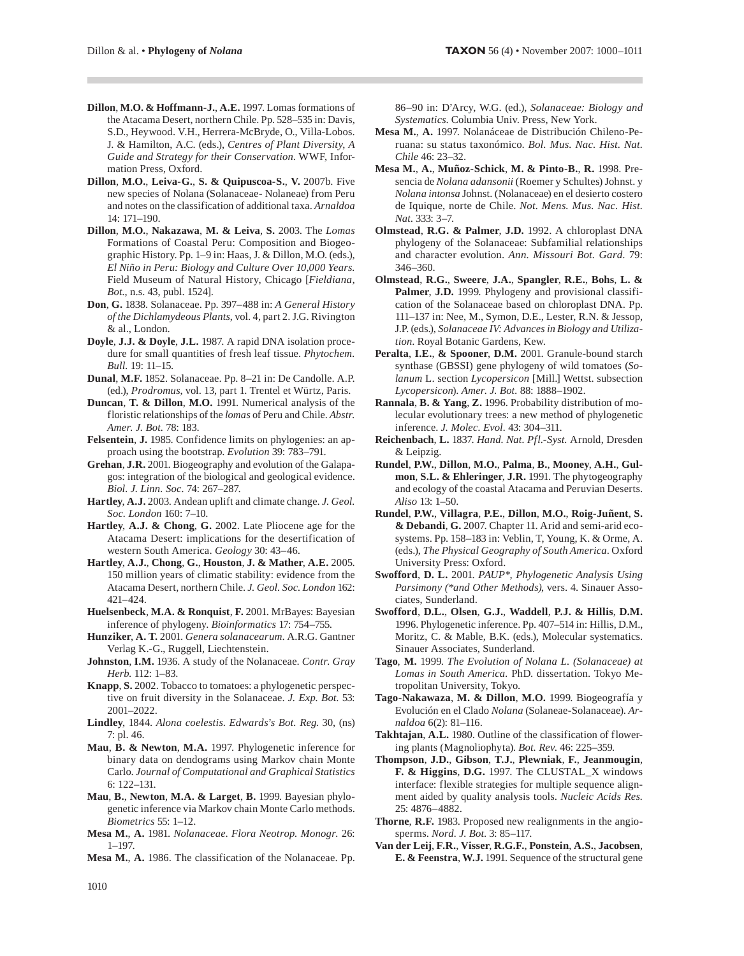- Dillon, M.O. & Hoffmann-J., A.E. 1997. Lomas formations of the Atacama Desert, northern Chile. Pp. 528-535 in: Davis, S.D., Heywood. V.H., Herrera-McBryde, O., Villa-Lobos. J. & Hamilton, A.C. (eds.), Centres of Plant Diversity, A Guide and Strategy for their Conservation. WWF, Information Press, Oxford.
- Dillon, M.O., Leiva-G., S. & Quipuscoa-S., V. 2007b. Five new species of Nolana (Solanaceae-Nolaneae) from Peru and notes on the classification of additional taxa. Arnaldoa  $14:171-190.$
- Dillon, M.O., Nakazawa, M. & Leiva, S. 2003. The Lomas Formations of Coastal Peru: Composition and Biogeographic History. Pp. 1-9 in: Haas, J. & Dillon, M.O. (eds.), El Niño in Peru: Biology and Culture Over 10,000 Years. Field Museum of Natural History, Chicago [Fieldiana, *Bot.*, n.s. 43, publ. 1524].
- Don, G. 1838. Solanaceae. Pp. 397-488 in: A General History of the Dichlamydeous Plants, vol. 4, part 2. J.G. Rivington & al., London.
- Doyle, J.J. & Doyle, J.L. 1987. A rapid DNA isolation procedure for small quantities of fresh leaf tissue. Phytochem. Bull. 19: 11-15.
- Dunal, M.F. 1852. Solanaceae. Pp. 8–21 in: De Candolle. A.P. (ed.), Prodromus, vol. 13, part 1. Trentel et Würtz, Paris.
- Duncan, T. & Dillon, M.O. 1991. Numerical analysis of the floristic relationships of the *lomas* of Peru and Chile. Abstr. Amer. J. Bot. 78: 183.
- Felsentein, J. 1985. Confidence limits on phylogenies: an approach using the bootstrap. Evolution 39: 783-791.
- Grehan, J.R. 2001. Biogeography and evolution of the Galapagos: integration of the biological and geological evidence. Biol. J. Linn. Soc. 74: 267-287.
- Hartley, A.J. 2003. Andean uplift and climate change. J. Geol. Soc. London 160: 7-10.
- Hartley, A.J. & Chong, G. 2002. Late Pliocene age for the Atacama Desert: implications for the desertification of western South America. Geology 30: 43-46.
- Hartley, A.J., Chong, G., Houston, J. & Mather, A.E. 2005. 150 million years of climatic stability: evidence from the Atacama Desert, northern Chile. J. Geol. Soc. London 162:  $421 - 424.$
- Huelsenbeck, M.A. & Ronquist, F. 2001. MrBayes: Bayesian inference of phylogeny. Bioinformatics 17: 754-755.
- Hunziker, A. T. 2001. Genera solanacearum. A.R.G. Gantner Verlag K.-G., Ruggell, Liechtenstein.
- Johnston, I.M. 1936. A study of the Nolanaceae. Contr. Gray Herb. 112: 1-83.
- Knapp, S. 2002. Tobacco to tomatoes: a phylogenetic perspective on fruit diversity in the Solanaceae. J. Exp. Bot. 53: 2001-2022.
- Lindley, 1844. Alona coelestis. Edwards's Bot. Reg. 30, (ns) 7: pl. 46.
- Mau, B. & Newton, M.A. 1997. Phylogenetic inference for binary data on dendograms using Markov chain Monte Carlo. Journal of Computational and Graphical Statistics  $6: 122 - 131.$
- Mau, B., Newton, M.A. & Larget, B. 1999. Bayesian phylogenetic inference via Markov chain Monte Carlo methods. Biometrics 55: 1-12.
- Mesa M., A. 1981. Nolanaceae. Flora Neotrop. Monogr. 26:  $1 - 197.$

Mesa M., A. 1986. The classification of the Nolanaceae. Pp.

86-90 in: D'Arcy, W.G. (ed.), Solanaceae: Biology and Systematics. Columbia Univ. Press, New York.

- Mesa M., A. 1997. Nolanáceae de Distribución Chileno-Peruana: su status taxonómico. Bol. Mus. Nac. Hist. Nat. Chile 46: 23-32.
- Mesa M., A., Muñoz-Schick, M. & Pinto-B., R. 1998. Presencia de Nolana adansonii (Roemer y Schultes) Johnst. y Nolana intonsa Johnst. (Nolanaceae) en el desierto costero de Iquique, norte de Chile. Not. Mens. Mus. Nac. Hist. Nat. 333: 3-7.
- Olmstead, R.G. & Palmer, J.D. 1992. A chloroplast DNA phylogeny of the Solanaceae: Subfamilial relationships and character evolution. Ann. Missouri Bot. Gard. 79: 346-360.
- Olmstead, R.G., Sweere, J.A., Spangler, R.E., Bohs, L. & Palmer, J.D. 1999. Phylogeny and provisional classification of the Solanaceae based on chloroplast DNA. Pp. 111–137 in: Nee, M., Symon, D.E., Lester, R.N. & Jessop, J.P. (eds.), Solanaceae IV: Advances in Biology and Utilization. Royal Botanic Gardens, Kew.
- Peralta, I.E., & Spooner, D.M. 2001. Granule-bound starch synthase (GBSSI) gene phylogeny of wild tomatoes (Solanum L. section Lycopersicon [Mill.] Wettst. subsection Lycopersicon). Amer. J. Bot. 88: 1888-1902.
- Rannala, B. & Yang, Z. 1996. Probability distribution of molecular evolutionary trees: a new method of phylogenetic inference. J. Molec. Evol. 43: 304-311.
- Reichenbach, L. 1837. Hand. Nat. Pfl.-Syst. Arnold, Dresden & Leipzig.
- Rundel, P.W., Dillon, M.O., Palma, B., Mooney, A.H., Gulmon, S.L. & Ehleringer, J.R. 1991. The phytogeography and ecology of the coastal Atacama and Peruvian Deserts. Aliso 13: 1-50.
- Rundel, P.W., Villagra, P.E., Dillon, M.O., Roig-Juñent, S. & Debandi, G. 2007. Chapter 11. Arid and semi-arid ecosystems. Pp. 158-183 in: Veblin, T, Young, K. & Orme, A. (eds.), The Physical Geography of South America. Oxford University Press: Oxford.
- Swofford, D. L. 2001. PAUP\*, Phylogenetic Analysis Using Parsimony (\*and Other Methods), vers. 4. Sinauer Associates. Sunderland.
- Swofford, D.L., Olsen, G.J., Waddell, P.J. & Hillis, D.M. 1996. Phylogenetic inference. Pp. 407-514 in: Hillis, D.M., Moritz, C. & Mable, B.K. (eds.), Molecular systematics. Sinauer Associates, Sunderland.
- Tago, M. 1999. The Evolution of Nolana L. (Solanaceae) at Lomas in South America. PhD. dissertation. Tokyo Metropolitan University, Tokyo.
- Tago-Nakawaza, M. & Dillon, M.O. 1999. Biogeografía y Evolución en el Clado Nolana (Solaneae-Solanaceae). Arnaldoa 6(2): 81-116.
- Takhtajan, A.L. 1980. Outline of the classification of flowering plants (Magnoliophyta). Bot. Rev. 46: 225–359.
- Thompson, J.D., Gibson, T.J., Plewniak, F., Jeanmougin, F. & Higgins, D.G. 1997. The CLUSTAL\_X windows interface: flexible strategies for multiple sequence alignment aided by quality analysis tools. Nucleic Acids Res. 25: 4876-4882.
- Thorne, R.F. 1983. Proposed new realignments in the angiosperms. Nord. J. Bot. 3: 85-117.
- Van der Leij, F.R., Visser, R.G.F., Ponstein, A.S., Jacobsen, E. & Feenstra, W.J. 1991. Sequence of the structural gene